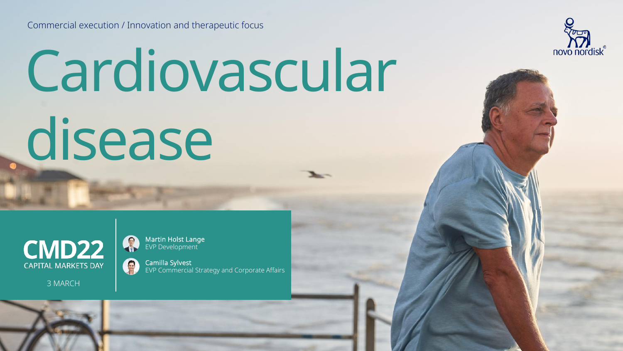Commercial execution / Innovation and therapeutic focus

# Cardiovascular disease



3 MARCH



Martin Holst Lange EVP Development

Camilla Sylvest EVP Commercial Strategy and Corporate Affairs

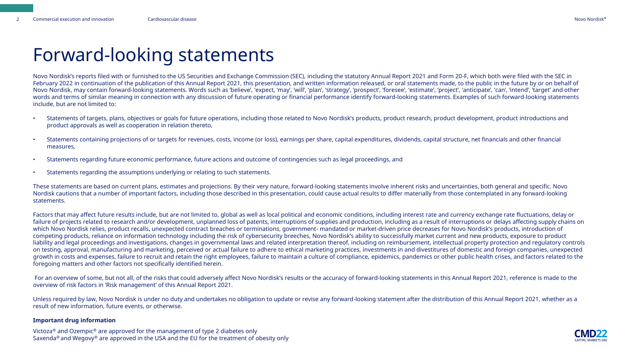#### Forward-looking statements

Novo Nordisk's reports filed with or furnished to the US Securities and Exchange Commission (SEC), including the statutory Annual Report 2021 and Form 20-F, which both were filed with the SEC in February 2022 in continuation of the publication of this Annual Report 2021, this presentation, and written information released, or oral statements made, to the public in the future by or on behalf of Novo Nordisk, may contain forward-looking statements. Words such as 'believe', 'expect, 'may', 'will', 'plan', 'strategy', 'prospect', 'foresee', 'estimate', 'project', 'anticipate', 'can', 'intend', 'target' and other words and terms of similar meaning in connection with any discussion of future operating or financial performance identify forward-looking statements. Examples of such forward-looking statements include, but are not limited to:

- Statements of targets, plans, objectives or goals for future operations, including those related to Novo Nordisk's products, product research, product development, product introductions and product approvals as well as cooperation in relation thereto,
- Statements containing projections of or targets for revenues, costs, income (or loss), earnings per share, capital expenditures, dividends, capital structure, net financials and other financial measures,
- Statements regarding future economic performance, future actions and outcome of contingencies such as legal proceedings, and
- Statements regarding the assumptions underlying or relating to such statements.

These statements are based on current plans, estimates and projections. By their very nature, forward-looking statements involve inherent risks and uncertainties, both general and specific. Novo Nordisk cautions that a number of important factors, including those described in this presentation, could cause actual results to differ materially from those contemplated in any forward-looking statements.

Factors that may affect future results include, but are not limited to, global as well as local political and economic conditions, including interest rate and currency exchange rate fluctuations, delay or failure of projects related to research and/or development, unplanned loss of patents, interruptions of supplies and production, including as a result of interruptions or delays affecting supply chains on which Novo Nordisk relies, product recalls, unexpected contract breaches or terminations, government- mandated or market-driven price decreases for Novo Nordisk's products, introduction of competing products, reliance on information technology including the risk of cybersecurity breeches, Novo Nordisk's ability to successfully market current and new products, exposure to product liability and legal proceedings and investigations, changes in governmental laws and related interpretation thereof, including on reimbursement, intellectual property protection and regulatory controls on testing, approval, manufacturing and marketing, perceived or actual failure to adhere to ethical marketing practices, investments in and divestitures of domestic and foreign companies, unexpected growth in costs and expenses, failure to recruit and retain the right employees, failure to maintain a culture of compliance, epidemics, pandemics or other public health crises, and factors related to the foregoing matters and other factors not specifically identified herein.

For an overview of some, but not all, of the risks that could adversely affect Novo Nordisk's results or the accuracy of forward-looking statements in this Annual Report 2021, reference is made to the overview of risk factors in 'Risk management' of this Annual Report 2021.

Unless required by law, Novo Nordisk is under no duty and undertakes no obligation to update or revise any forward-looking statement after the distribution of this Annual Report 2021, whether as a result of new information, future events, or otherwise.

#### **Important drug information**

Victoza® and Ozempic® are approved for the management of type 2 diabetes only Saxenda<sup>®</sup> and Wegovy<sup>®</sup> are approved in the USA and the EU for the treatment of obesity only

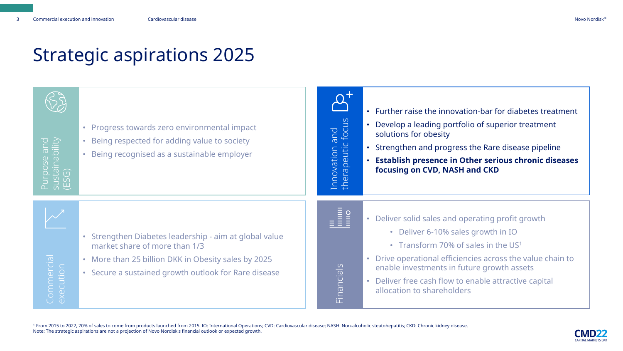# Strategic aspirations 2025

| e and<br>ability | • Progress towards zero environmental impact<br>Being respected for adding value to society<br>$\bullet$<br>Being recognised as a sustainable employer                                               | and<br>c focus<br>ovation a<br>rapeutic<br>$\omega$ | • Further raise the innovation-bar for diabetes treatment<br>• Develop a leading portfolio of superior treatment<br>solutions for obesity<br>• Strengthen and progress the Rare disease pipeline<br>• Establish presence in Other serious chronic diseases<br>focusing on CVD, NASH and CKD                                       |
|------------------|------------------------------------------------------------------------------------------------------------------------------------------------------------------------------------------------------|-----------------------------------------------------|-----------------------------------------------------------------------------------------------------------------------------------------------------------------------------------------------------------------------------------------------------------------------------------------------------------------------------------|
| Commercial       | Strengthen Diabetes leadership - aim at global value<br>market share of more than 1/3<br>• More than 25 billion DKK in Obesity sales by 2025<br>• Secure a sustained growth outlook for Rare disease | <u>Financials</u>                                   | • Deliver solid sales and operating profit growth<br>• Deliver 6-10% sales growth in IO<br>• Transform 70% of sales in the US1<br>• Drive operational efficiencies across the value chain to<br>enable investments in future growth assets<br>• Deliver free cash flow to enable attractive capital<br>allocation to shareholders |

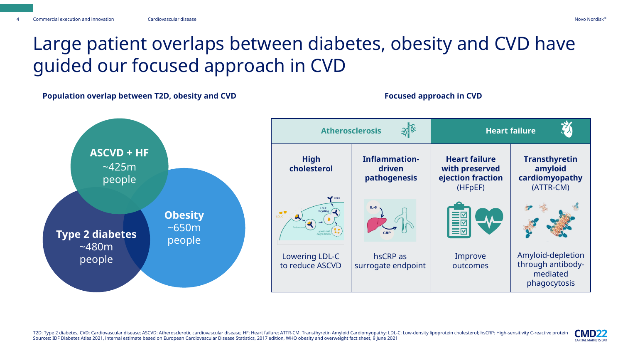#### Large patient overlaps between diabetes, obesity and CVD have guided our focused approach in CVD

**Population overlap between T2D, obesity and CVD Focused approach in CVD Focused approach in CVD** 



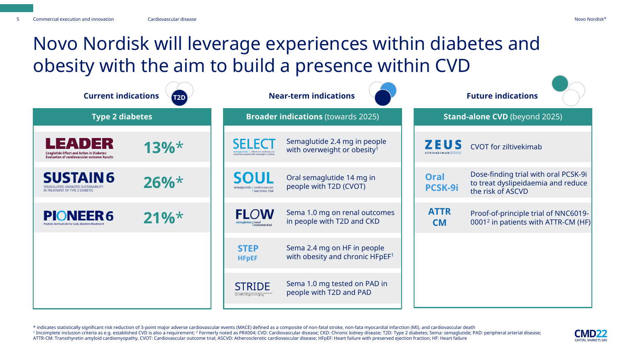# Novo Nordisk will leverage experiences within diabetes and obesity with the aim to build a presence within CVD

| <b>Current indications</b><br>$\sqrt{12D}$                                                                         |          |                                                                                                                                      | <b>Near-term indications</b>                                            |                                            | <b>Future indications</b>                                                                       |  |  |  |
|--------------------------------------------------------------------------------------------------------------------|----------|--------------------------------------------------------------------------------------------------------------------------------------|-------------------------------------------------------------------------|--------------------------------------------|-------------------------------------------------------------------------------------------------|--|--|--|
| <b>Type 2 diabetes</b>                                                                                             |          |                                                                                                                                      | <b>Broader indications (towards 2025)</b>                               | <b>Stand-alone CVD</b> (beyond 2025)       |                                                                                                 |  |  |  |
| LEADER<br><b>Liraglutide Effect and Action in Diabetes:</b><br><b>Evaluation of cardiovascular outcome Results</b> | $13\%$ * | SEL ECT<br>semaglutide   effects on cardiovascular<br>outcomes in people with overweight or obesity                                  | Semaglutide 2.4 mg in people<br>with overweight or obesity <sup>1</sup> | <b>ZEUS</b><br>ziltivekimab cardiovascular | <b>CVOT</b> for ziltivekimab                                                                    |  |  |  |
| <b>SUSTAIN 6</b><br>IN TREATMENT OF TYPE 2 DIABETES                                                                | $26\%$ * | SOUI<br>semaglutide   cardiovascular<br>  outcomes trial                                                                             | Oral semaglutide 14 mg in<br>people with T2D (CVOT)                     | <b>Oral</b><br><b>PCSK-9i</b>              | Dose-finding trial with oral PCSK-9i<br>to treat dyslipeidaemia and reduce<br>the risk of ASCVD |  |  |  |
| <b>ONEER6</b>                                                                                                      | $21\%$ * | <b>FLOW</b><br>semaglutide renal<br>outcomes tria                                                                                    | Sema 1.0 mg on renal outcomes<br>in people with T2D and CKD             | <b>ATTR</b><br><b>CM</b>                   | Proof-of-principle trial of NNC6019-<br>0001 <sup>2</sup> in patients with ATTR-CM (HF)         |  |  |  |
|                                                                                                                    |          | <b>STEP</b><br><b>HFpEF</b>                                                                                                          | Sema 2.4 mg on HF in people<br>with obesity and chronic HFpEF1          |                                            |                                                                                                 |  |  |  |
|                                                                                                                    |          | <b>STRIDE</b><br>.<br>Effects of semaglutide on functional capacity in patients w<br>type 2 diabetes and peripheral arterial disease | Sema 1.0 mg tested on PAD in<br>people with T2D and PAD                 |                                            |                                                                                                 |  |  |  |

\* indicates statistically significant risk reduction of 3-point major adverse cardiovascular events (MACE) defined as a composite of non-fatal stroke, non-fata myocardial infarction (MI), and cardiovascular death <sup>1</sup> Incomplete inclusion criteria as e.g. established CVD is also a requirement; <sup>2</sup> Formerly noted as PRX004; CVD: Cardiovascular disease; CKD: Chronic kidney disease; T2D: Type 2 diabetes; Sema: semaglutide; PAD: periphe ATTR-CM: Transthyretin amyloid cardiomyopathy, CVOT: Cardiovascular outcome trial; ASCVD: Atherosclerotic cardiovascular disease; HFpEF: Heart failure with preserved ejection fraction; HF: Heart failure

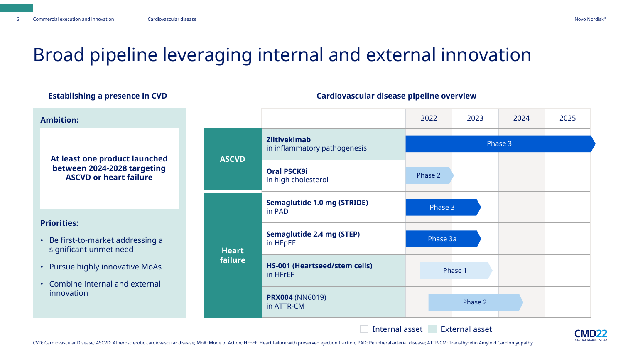# Broad pipeline leveraging internal and external innovation

| ESTADIISHING A PIESENCE III CVD                                                   | Cardiovascular disease pipeline overview |                                                     |          |         |      |      |  |
|-----------------------------------------------------------------------------------|------------------------------------------|-----------------------------------------------------|----------|---------|------|------|--|
| <b>Ambition:</b>                                                                  |                                          |                                                     | 2022     | 2023    | 2024 | 2025 |  |
| At least one product launched                                                     | <b>ASCVD</b>                             | <b>Ziltivekimab</b><br>in inflammatory pathogenesis | Phase 3  |         |      |      |  |
| between 2024-2028 targeting<br><b>ASCVD or heart failure</b>                      |                                          | <b>Oral PSCK9i</b><br>in high cholesterol           | Phase 2  |         |      |      |  |
|                                                                                   | <b>Heart</b><br>failure                  | <b>Semaglutide 1.0 mg (STRIDE)</b><br>in PAD        | Phase 3  |         |      |      |  |
| <b>Priorities:</b><br>• Be first-to-market addressing a<br>significant unmet need |                                          | <b>Semaglutide 2.4 mg (STEP)</b><br>in HFpEF        | Phase 3a |         |      |      |  |
| • Pursue highly innovative MoAs<br>• Combine internal and external                |                                          | <b>HS-001 (Heartseed/stem cells)</b><br>in HFrEF    |          | Phase 1 |      |      |  |
| innovation                                                                        |                                          | <b>PRX004 (NN6019)</b><br>in ATTR-CM                |          | Phase 2 |      |      |  |

#### **Establishing a presence in CVD Cardiovascular disease pipeline overview**

Internal asset External asset



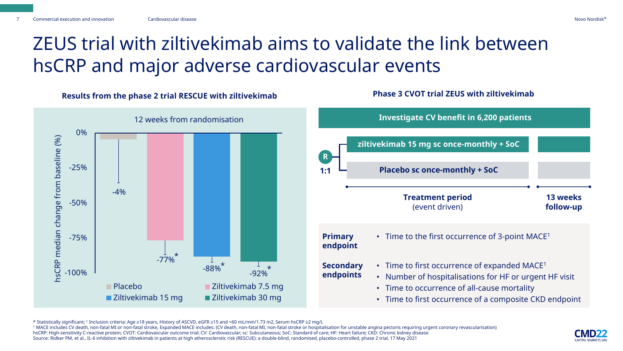# ZEUS trial with ziltivekimab aims to validate the link between hsCRP and major adverse cardiovascular events

**Results from the phase 2 trial RESCUE with ziltivekimab Phase 3 CVOT trial ZEUS with ziltivekimab**



**Investigate CV benefit in 6,200 patients 1:1 R ziltivekimab 15 mg sc once-monthly + SoC Placebo sc once-monthly + SoC Treatment period** (event driven) **13 weeks follow-up Primary endpoint Secondary endpoints** • Time to the first occurrence of 3-point MACE<sup>1</sup> • Time to first occurrence of expanded MACE<sup>1</sup> • Number of hospitalisations for HF or urgent HF visit • Time to occurrence of all-cause mortality

• Time to first occurrence of a composite CKD endpoint

<sup>1</sup> MACE includes CV death, non-fatal MI or non-fatal stroke, Expanded MACE includes: (CV death, non-fatal MI, non-fatal stroke or hospitalisation for unstable angina pectoris requiring urgent coronary revascularisation)

hsCRP: High-sensitivity C-reactive protein; CVOT: Cardiovascular outcome trial; CV: Cardiovascular; sc: Subcutaneous; SoC: Standard of care; HF: Heart failure; CKD: Chronic kidney disease Source: Ridker PM, et al., IL-6 inhibition with ziltivekimab in patients at high atherosclerotic risk (RESCUE): a double-blind, randomised, placebo-controlled, phase 2 trial, 17 May 2021



<sup>\*</sup> Statistically significant; <sup>1</sup> Inclusion criteria: Age ≥18 years, History of ASCVD, eGFR ≥15 and <60 mL/min/1.73 m2, Serum hsCRP ≥2 mg/L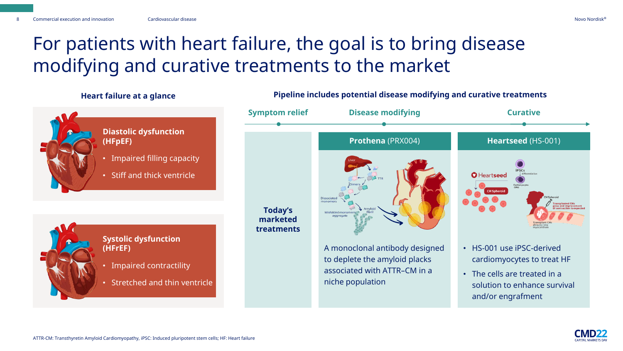# For patients with heart failure, the goal is to bring disease modifying and curative treatments to the market

#### **Heart failure at a glance**



- **Diastolic dysfunction (HFpEF)**
- Impaired filling capacity
- Stiff and thick ventricle

**Systolic dysfunction (HFrEF)**

• Impaired contractility

• Stretched and thin ventricle



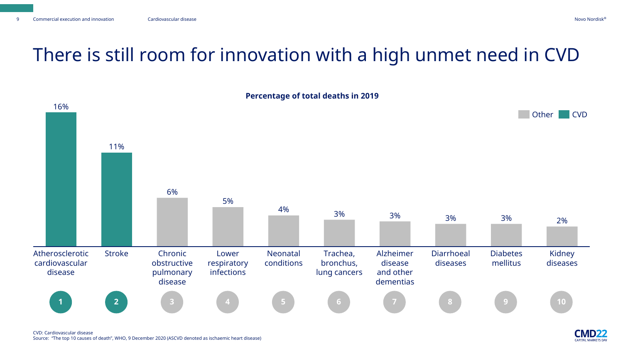**CAPITAL MARKETS DAY** 

# There is still room for innovation with a high unmet need in CVD



CVD: Cardiovascular disease Source: "The top 10 causes of death", WHO, 9 December 2020 (ASCVD denoted as ischaemic heart disease)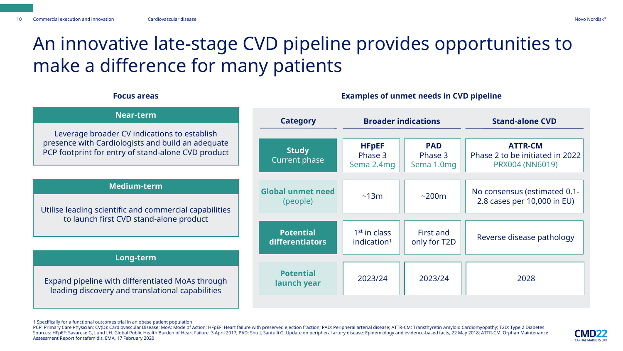# An innovative late-stage CVD pipeline provides opportunities to make a difference for many patients

| <b>Near-term</b>                                                                                        | <b>Category</b>                 | <b>Broader indications</b>            |                                     | <b>Stand-alone CVD</b>                                               |  |  |
|---------------------------------------------------------------------------------------------------------|---------------------------------|---------------------------------------|-------------------------------------|----------------------------------------------------------------------|--|--|
| Leverage broader CV indications to establish                                                            |                                 |                                       |                                     |                                                                      |  |  |
| presence with Cardiologists and build an adequate<br>PCP footprint for entry of stand-alone CVD product | <b>Study</b><br>Current phase   | <b>HFpEF</b><br>Phase 3<br>Sema 2.4mg | <b>PAD</b><br>Phase 3<br>Sema 1.0mg | <b>ATTR-CM</b><br>Phase 2 to be initiated in 2022<br>PRX004 (NN6019) |  |  |
| <b>Medium-term</b>                                                                                      |                                 |                                       |                                     |                                                                      |  |  |
|                                                                                                         | <b>Global unmet need</b>        | ~13m                                  | ~200m                               | No consensus (estimated 0.1-                                         |  |  |
| Utilise leading scientific and commercial capabilities                                                  | (people)                        |                                       |                                     | 2.8 cases per 10,000 in EU)                                          |  |  |
| to launch first CVD stand-alone product                                                                 |                                 |                                       | First and                           |                                                                      |  |  |
|                                                                                                         | <b>Potential</b>                | 1 <sup>st</sup> in class              |                                     | Reverse disease pathology                                            |  |  |
|                                                                                                         | differentiators                 | indication $1$                        | only for T2D                        |                                                                      |  |  |
| Long-term                                                                                               |                                 |                                       |                                     |                                                                      |  |  |
| Expand pipeline with differentiated MoAs through<br>leading discovery and translational capabilities    | <b>Potential</b><br>launch year | 2023/24                               | 2023/24                             | 2028                                                                 |  |  |
|                                                                                                         |                                 |                                       |                                     |                                                                      |  |  |

#### **Focus areas Examples of unmet needs in CVD pipeline**

PCP: Primary Care Physician; CV(D): Cardiovascular Disease; MoA: Mode of Action; HFpEF: Heart failure with preserved ejection fraction; PAD: Peripheral arterial disease; ATTR-CM: Transthyretin Amyloid Cardiomyopathy; T2D: Sources: HFpEF: Savarese G, Lund LH. Global Public Health Burden of Heart Failure, 3 April 2017; PAD: Shu J, Santulli G. Update on peripheral artery disease: Epidemiology and evidence-based facts, 22 May 2018; ATTR-CM: Orp Assessment Report for tafamidis, EMA, 17 February 2020



<sup>1</sup> Specifically for a functional outcomes trial in an obese patient population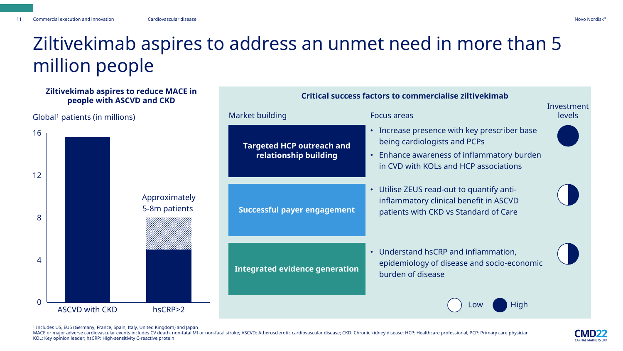#### Ziltivekimab aspires to address an unmet need in more than 5 million people

#### **Ziltivekimab aspires to reduce MACE in people with ASCVD and CKD**

Global<sup>1</sup> patients (in millions)



**Sub-header (can be removed) Critical success factors to commercialise ziltivekimab** 

1 Includes US, EU5 (Germany, France, Spain, Italy, United Kingdom) and Japan

0

4

8

12

16

MACE or major adverse cardiovascular events includes CV death, non-fatal MI or non-fatal stroke; ASCVD: Atherosclerotic cardiovascular disease; CKD: Chronic kidney disease; HCP: Healthcare professional; PCP: Primary care p KOL: Key opinion leader; hsCRP: High-sensitivity C-reactive protein